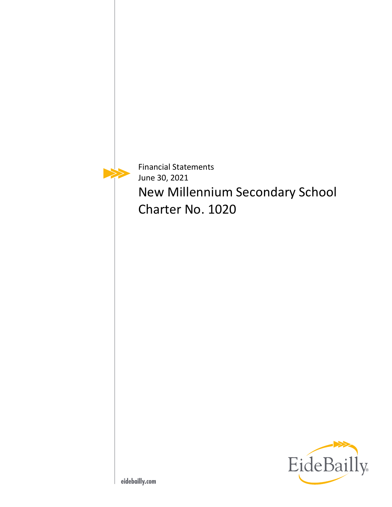Financial Statements June 30, 2021 New Millennium Secondary School Charter No. 1020

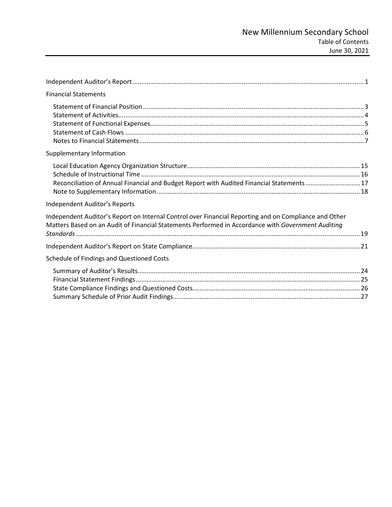| <b>Financial Statements</b>                                                                                                                                                                                 |
|-------------------------------------------------------------------------------------------------------------------------------------------------------------------------------------------------------------|
|                                                                                                                                                                                                             |
| Supplementary Information                                                                                                                                                                                   |
| Reconciliation of Annual Financial and Budget Report with Audited Financial Statements17                                                                                                                    |
| Independent Auditor's Reports                                                                                                                                                                               |
| Independent Auditor's Report on Internal Control over Financial Reporting and on Compliance and Other<br>Matters Based on an Audit of Financial Statements Performed in Accordance with Government Auditing |
|                                                                                                                                                                                                             |
| Schedule of Findings and Questioned Costs                                                                                                                                                                   |
|                                                                                                                                                                                                             |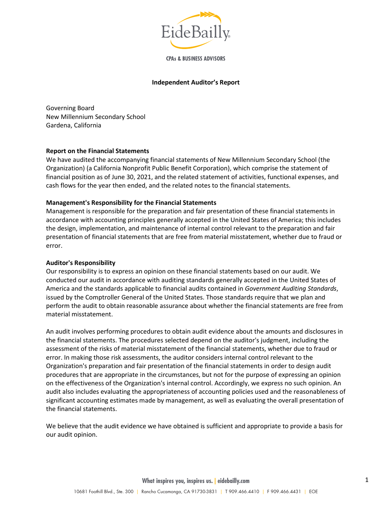

**CPAs & BUSINESS ADVISORS** 

#### **Independent Auditor's Report**

<span id="page-2-0"></span>Governing Board New Millennium Secondary School Gardena, California

#### **Report on the Financial Statements**

We have audited the accompanying financial statements of New Millennium Secondary School (the Organization) (a California Nonprofit Public Benefit Corporation), which comprise the statement of financial position as of June 30, 2021, and the related statement of activities, functional expenses, and cash flows for the year then ended, and the related notes to the financial statements.

#### **Management's Responsibility for the Financial Statements**

Management is responsible for the preparation and fair presentation of these financial statements in accordance with accounting principles generally accepted in the United States of America; this includes the design, implementation, and maintenance of internal control relevant to the preparation and fair presentation of financial statements that are free from material misstatement, whether due to fraud or error.

## **Auditor's Responsibility**

Our responsibility is to express an opinion on these financial statements based on our audit. We conducted our audit in accordance with auditing standards generally accepted in the United States of America and the standards applicable to financial audits contained in *Government Auditing Standards*, issued by the Comptroller General of the United States. Those standards require that we plan and perform the audit to obtain reasonable assurance about whether the financial statements are free from material misstatement.

An audit involves performing procedures to obtain audit evidence about the amounts and disclosures in the financial statements. The procedures selected depend on the auditor's judgment, including the assessment of the risks of material misstatement of the financial statements, whether due to fraud or error. In making those risk assessments, the auditor considers internal control relevant to the Organization's preparation and fair presentation of the financial statements in order to design audit procedures that are appropriate in the circumstances, but not for the purpose of expressing an opinion on the effectiveness of the Organization's internal control. Accordingly, we express no such opinion. An audit also includes evaluating the appropriateness of accounting policies used and the reasonableness of significant accounting estimates made by management, as well as evaluating the overall presentation of the financial statements.

We believe that the audit evidence we have obtained is sufficient and appropriate to provide a basis for our audit opinion.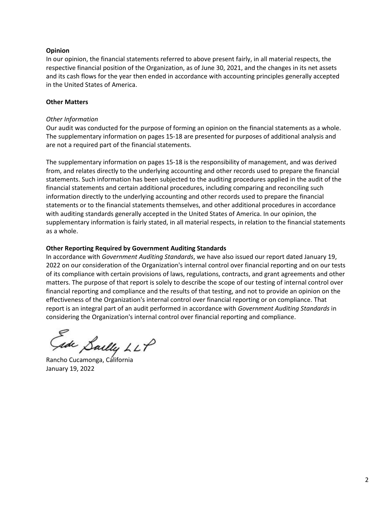### **Opinion**

In our opinion, the financial statements referred to above present fairly, in all material respects, the respective financial position of the Organization, as of June 30, 2021, and the changes in its net assets and its cash flows for the year then ended in accordance with accounting principles generally accepted in the United States of America.

## **Other Matters**

#### *Other Information*

Our audit was conducted for the purpose of forming an opinion on the financial statements as a whole. The supplementary information on pages 15-18 are presented for purposes of additional analysis and are not a required part of the financial statements.

The supplementary information on pages 15-18 is the responsibility of management, and was derived from, and relates directly to the underlying accounting and other records used to prepare the financial statements. Such information has been subjected to the auditing procedures applied in the audit of the financial statements and certain additional procedures, including comparing and reconciling such information directly to the underlying accounting and other records used to prepare the financial statements or to the financial statements themselves, and other additional procedures in accordance with auditing standards generally accepted in the United States of America. In our opinion, the supplementary information is fairly stated, in all material respects, in relation to the financial statements as a whole.

#### **Other Reporting Required by Government Auditing Standards**

In accordance with *Government Auditing Standards*, we have also issued our report dated January 19, 2022 on our consideration of the Organization's internal control over financial reporting and on our tests of its compliance with certain provisions of laws, regulations, contracts, and grant agreements and other matters. The purpose of that report is solely to describe the scope of our testing of internal control over financial reporting and compliance and the results of that testing, and not to provide an opinion on the effectiveness of the Organization's internal control over financial reporting or on compliance. That report is an integral part of an audit performed in accordance with *Government Auditing Standards* in considering the Organization's internal control over financial reporting and compliance.

Lake Sailly LLP

Rancho Cucamonga, California January 19, 2022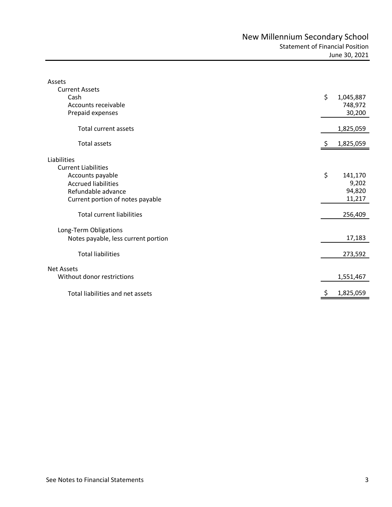<span id="page-4-1"></span><span id="page-4-0"></span>

| Assets                              |    |           |
|-------------------------------------|----|-----------|
| <b>Current Assets</b>               |    |           |
| Cash                                | \$ | 1,045,887 |
| Accounts receivable                 |    | 748,972   |
| Prepaid expenses                    |    | 30,200    |
| <b>Total current assets</b>         |    | 1,825,059 |
| <b>Total assets</b>                 | Ş. | 1,825,059 |
| Liabilities                         |    |           |
| <b>Current Liabilities</b>          |    |           |
|                                     | \$ |           |
| Accounts payable                    |    | 141,170   |
| <b>Accrued liabilities</b>          |    | 9,202     |
| Refundable advance                  |    | 94,820    |
| Current portion of notes payable    |    | 11,217    |
| <b>Total current liabilities</b>    |    | 256,409   |
| Long-Term Obligations               |    |           |
| Notes payable, less current portion |    | 17,183    |
| <b>Total liabilities</b>            |    |           |
|                                     |    | 273,592   |
| <b>Net Assets</b>                   |    |           |
| Without donor restrictions          |    | 1,551,467 |
| Total liabilities and net assets    | \$ | 1,825,059 |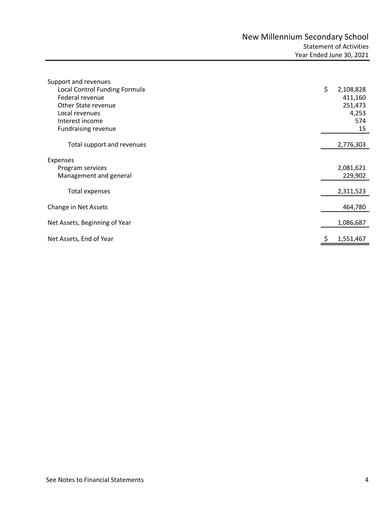<span id="page-5-0"></span>

| Support and revenues          |                 |
|-------------------------------|-----------------|
| Local Control Funding Formula | \$<br>2,108,828 |
| Federal revenue               | 411,160         |
| Other State revenue           | 251,473         |
| Local revenues                | 4,253           |
| Interest income               | 574             |
| Fundraising revenue           | 15              |
| Total support and revenues    | 2,776,303       |
| Expenses                      |                 |
| Program services              | 2,081,621       |
| Management and general        | 229,902         |
| Total expenses                | 2,311,523       |
|                               |                 |
| Change in Net Assets          | 464,780         |
|                               |                 |
| Net Assets, Beginning of Year | 1,086,687       |
| Net Assets, End of Year       | 1,551,467       |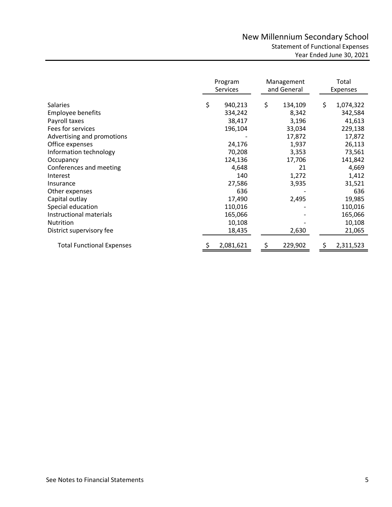<span id="page-6-0"></span>

|                                  | Program<br><b>Services</b> |    | Management<br>and General |    | Total<br>Expenses |
|----------------------------------|----------------------------|----|---------------------------|----|-------------------|
| <b>Salaries</b>                  | \$<br>940,213              | \$ | 134,109                   | \$ | 1,074,322         |
| <b>Employee benefits</b>         | 334,242                    |    | 8,342                     |    | 342,584           |
| Payroll taxes                    | 38,417                     |    | 3,196                     |    | 41,613            |
| Fees for services                | 196,104                    |    | 33,034                    |    | 229,138           |
| Advertising and promotions       |                            |    | 17,872                    |    | 17,872            |
| Office expenses                  | 24,176                     |    | 1,937                     |    | 26,113            |
| Information technology           | 70,208                     |    | 3,353                     |    | 73,561            |
| Occupancy                        | 124,136                    |    | 17,706                    |    | 141,842           |
| Conferences and meeting          | 4,648                      |    | 21                        |    | 4,669             |
| Interest                         | 140                        |    | 1,272                     |    | 1,412             |
| Insurance                        | 27,586                     |    | 3,935                     |    | 31,521            |
| Other expenses                   | 636                        |    |                           |    | 636               |
| Capital outlay                   | 17,490                     |    | 2,495                     |    | 19,985            |
| Special education                | 110,016                    |    |                           |    | 110,016           |
| Instructional materials          | 165,066                    |    |                           |    | 165,066           |
| <b>Nutrition</b>                 | 10,108                     |    |                           |    | 10,108            |
| District supervisory fee         | 18,435                     |    | 2,630                     |    | 21,065            |
| <b>Total Functional Expenses</b> | 2,081,621                  | Ş  | 229,902                   | S  | 2,311,523         |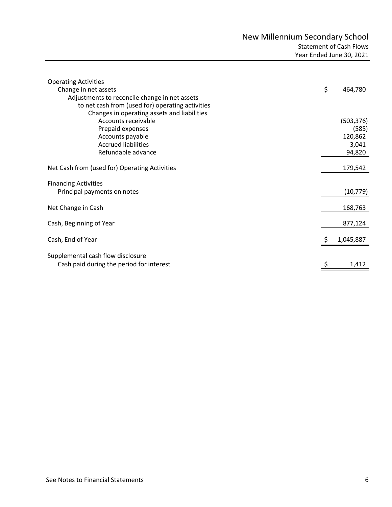<span id="page-7-0"></span>

| <b>Operating Activities</b><br>Change in net assets<br>Adjustments to reconcile change in net assets<br>to net cash from (used for) operating activities<br>Changes in operating assets and liabilities | \$<br>464,780 |
|---------------------------------------------------------------------------------------------------------------------------------------------------------------------------------------------------------|---------------|
| Accounts receivable                                                                                                                                                                                     | (503, 376)    |
| Prepaid expenses                                                                                                                                                                                        | (585)         |
| Accounts payable                                                                                                                                                                                        | 120,862       |
| <b>Accrued liabilities</b>                                                                                                                                                                              | 3,041         |
| Refundable advance                                                                                                                                                                                      | 94,820        |
| Net Cash from (used for) Operating Activities                                                                                                                                                           | 179,542       |
| <b>Financing Activities</b><br>Principal payments on notes                                                                                                                                              | (10, 779)     |
| Net Change in Cash                                                                                                                                                                                      | 168,763       |
| Cash, Beginning of Year                                                                                                                                                                                 | 877,124       |
| Cash, End of Year                                                                                                                                                                                       | 1,045,887     |
| Supplemental cash flow disclosure<br>Cash paid during the period for interest                                                                                                                           | 1,412         |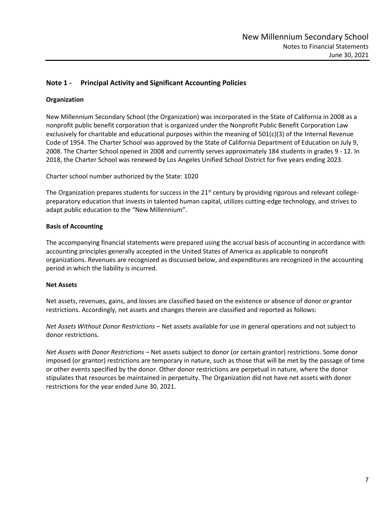# <span id="page-8-0"></span>**Note 1 - Principal Activity and Significant Accounting Policies**

## **Organization**

New Millennium Secondary School (the Organization) was incorporated in the State of California in 2008 as a nonprofit public benefit corporation that is organized under the Nonprofit Public Benefit Corporation Law exclusively for charitable and educational purposes within the meaning of  $501(c)(3)$  of the Internal Revenue Code of 1954. The Charter School was approved by the State of California Department of Education on July 9, 2008. The Charter School opened in 2008 and currently serves approximately 184 students in grades 9 - 12. In 2018, the Charter School was renewed by Los Angeles Unified School District for five years ending 2023.

Charter school number authorized by the State: 1020

The Organization prepares students for success in the  $21<sup>st</sup>$  century by providing rigorous and relevant collegepreparatory education that invests in talented human capital, utilizes cutting-edge technology, and strives to adapt public education to the "New Millennium".

## **Basis of Accounting**

The accompanying financial statements were prepared using the accrual basis of accounting in accordance with accounting principles generally accepted in the United States of America as applicable to nonprofit organizations. Revenues are recognized as discussed below, and expenditures are recognized in the accounting period in which the liability is incurred.

## **Net Assets**

Net assets, revenues, gains, and losses are classified based on the existence or absence of donor or grantor restrictions. Accordingly, net assets and changes therein are classified and reported as follows:

*Net Assets Without Donor Restrictions –* Net assets available for use in general operations and not subject to donor restrictions.

*Net Assets with Donor Restrictions –* Net assets subject to donor (or certain grantor) restrictions. Some donor imposed (or grantor) restrictions are temporary in nature, such as those that will be met by the passage of time or other events specified by the donor. Other donor restrictions are perpetual in nature, where the donor stipulates that resources be maintained in perpetuity. The Organization did not have net assets with donor restrictions for the year ended June 30, 2021.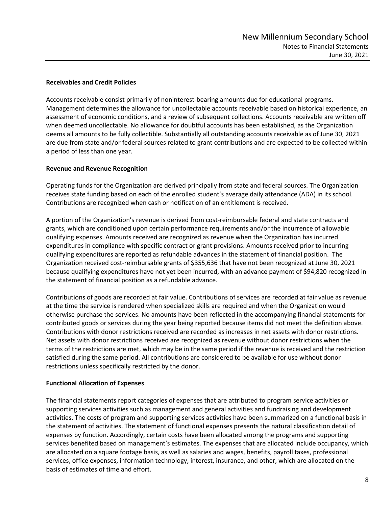## **Receivables and Credit Policies**

Accounts receivable consist primarily of noninterest-bearing amounts due for educational programs. Management determines the allowance for uncollectable accounts receivable based on historical experience, an assessment of economic conditions, and a review of subsequent collections. Accounts receivable are written off when deemed uncollectable. No allowance for doubtful accounts has been established, as the Organization deems all amounts to be fully collectible. Substantially all outstanding accounts receivable as of June 30, 2021 are due from state and/or federal sources related to grant contributions and are expected to be collected within a period of less than one year.

## **Revenue and Revenue Recognition**

Operating funds for the Organization are derived principally from state and federal sources. The Organization receives state funding based on each of the enrolled student's average daily attendance (ADA) in its school. Contributions are recognized when cash or notification of an entitlement is received.

A portion of the Organization's revenue is derived from cost-reimbursable federal and state contracts and grants, which are conditioned upon certain performance requirements and/or the incurrence of allowable qualifying expenses. Amounts received are recognized as revenue when the Organization has incurred expenditures in compliance with specific contract or grant provisions. Amounts received prior to incurring qualifying expenditures are reported as refundable advances in the statement of financial position. The Organization received cost-reimbursable grants of \$355,636 that have not been recognized at June 30, 2021 because qualifying expenditures have not yet been incurred, with an advance payment of \$94,820 recognized in the statement of financial position as a refundable advance.

Contributions of goods are recorded at fair value. Contributions of services are recorded at fair value as revenue at the time the service is rendered when specialized skills are required and when the Organization would otherwise purchase the services. No amounts have been reflected in the accompanying financial statements for contributed goods or services during the year being reported because items did not meet the definition above. Contributions with donor restrictions received are recorded as increases in net assets with donor restrictions. Net assets with donor restrictions received are recognized as revenue without donor restrictions when the terms of the restrictions are met, which may be in the same period if the revenue is received and the restriction satisfied during the same period. All contributions are considered to be available for use without donor restrictions unless specifically restricted by the donor.

## **Functional Allocation of Expenses**

The financial statements report categories of expenses that are attributed to program service activities or supporting services activities such as management and general activities and fundraising and development activities. The costs of program and supporting services activities have been summarized on a functional basis in the statement of activities. The statement of functional expenses presents the natural classification detail of expenses by function. Accordingly, certain costs have been allocated among the programs and supporting services benefited based on management's estimates. The expenses that are allocated include occupancy, which are allocated on a square footage basis, as well as salaries and wages, benefits, payroll taxes, professional services, office expenses, information technology, interest, insurance, and other, which are allocated on the basis of estimates of time and effort.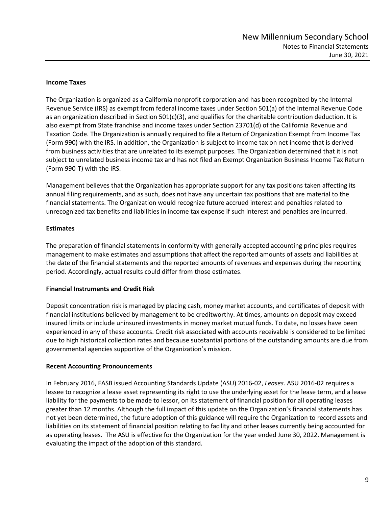## **Income Taxes**

The Organization is organized as a California nonprofit corporation and has been recognized by the Internal Revenue Service (IRS) as exempt from federal income taxes under Section 501(a) of the Internal Revenue Code as an organization described in Section 501(c)(3), and qualifies for the charitable contribution deduction. It is also exempt from State franchise and income taxes under Section 23701(d) of the California Revenue and Taxation Code. The Organization is annually required to file a Return of Organization Exempt from Income Tax (Form 990) with the IRS. In addition, the Organization is subject to income tax on net income that is derived from business activities that are unrelated to its exempt purposes. The Organization determined that it is not subject to unrelated business income tax and has not filed an Exempt Organization Business Income Tax Return (Form 990‐T) with the IRS.

Management believes that the Organization has appropriate support for any tax positions taken affecting its annual filing requirements, and as such, does not have any uncertain tax positions that are material to the financial statements. The Organization would recognize future accrued interest and penalties related to unrecognized tax benefits and liabilities in income tax expense if such interest and penalties are incurred.

## **Estimates**

The preparation of financial statements in conformity with generally accepted accounting principles requires management to make estimates and assumptions that affect the reported amounts of assets and liabilities at the date of the financial statements and the reported amounts of revenues and expenses during the reporting period. Accordingly, actual results could differ from those estimates.

## **Financial Instruments and Credit Risk**

Deposit concentration risk is managed by placing cash, money market accounts, and certificates of deposit with financial institutions believed by management to be creditworthy. At times, amounts on deposit may exceed insured limits or include uninsured investments in money market mutual funds. To date, no losses have been experienced in any of these accounts. Credit risk associated with accounts receivable is considered to be limited due to high historical collection rates and because substantial portions of the outstanding amounts are due from governmental agencies supportive of the Organization's mission.

## **Recent Accounting Pronouncements**

In February 2016, FASB issued Accounting Standards Update (ASU) 2016‐02, *Leases*. ASU 2016‐02 requires a lessee to recognize a lease asset representing its right to use the underlying asset for the lease term, and a lease liability for the payments to be made to lessor, on its statement of financial position for all operating leases greater than 12 months. Although the full impact of this update on the Organization's financial statements has not yet been determined, the future adoption of this guidance will require the Organization to record assets and liabilities on its statement of financial position relating to facility and other leases currently being accounted for as operating leases. The ASU is effective for the Organization for the year ended June 30, 2022. Management is evaluating the impact of the adoption of this standard.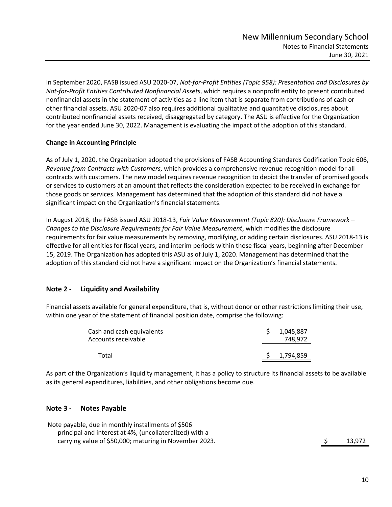In September 2020, FASB issued ASU 2020-07, *Not-for-Profit Entities (Topic 958): Presentation and Disclosures by Not-for-Profit Entities Contributed Nonfinancial Assets*, which requires a nonprofit entity to present contributed nonfinancial assets in the statement of activities as a line item that is separate from contributions of cash or other financial assets. ASU 2020-07 also requires additional qualitative and quantitative disclosures about contributed nonfinancial assets received, disaggregated by category. The ASU is effective for the Organization for the year ended June 30, 2022. Management is evaluating the impact of the adoption of this standard.

# **Change in Accounting Principle**

As of July 1, 2020, the Organization adopted the provisions of FASB Accounting Standards Codification Topic 606, *Revenue from Contracts with Customers*, which provides a comprehensive revenue recognition model for all contracts with customers. The new model requires revenue recognition to depict the transfer of promised goods or services to customers at an amount that reflects the consideration expected to be received in exchange for those goods or services. Management has determined that the adoption of this standard did not have a significant impact on the Organization's financial statements.

In August 2018, the FASB issued ASU 2018-13, *Fair Value Measurement (Topic 820): Disclosure Framework – Changes to the Disclosure Requirements for Fair Value Measurement*, which modifies the disclosure requirements for fair value measurements by removing, modifying, or adding certain disclosures. ASU 2018-13 is effective for all entities for fiscal years, and interim periods within those fiscal years, beginning after December 15, 2019. The Organization has adopted this ASU as of July 1, 2020. Management has determined that the adoption of this standard did not have a significant impact on the Organization's financial statements.

# **Note 2 - Liquidity and Availability**

Financial assets available for general expenditure, that is, without donor or other restrictions limiting their use, within one year of the statement of financial position date, comprise the following:

| Cash and cash equivalents<br>Accounts receivable | 1.045.887<br>748.972 |
|--------------------------------------------------|----------------------|
| Total                                            | 1,794,859            |

As part of the Organization's liquidity management, it has a policy to structure its financial assets to be available as its general expenditures, liabilities, and other obligations become due.

# **Note 3 - Notes Payable**

Note payable, due in monthly installments of \$506 principal and interest at 4%, (uncollateralized) with a carrying value of \$50,000; maturing in November 2023. \$ 13,972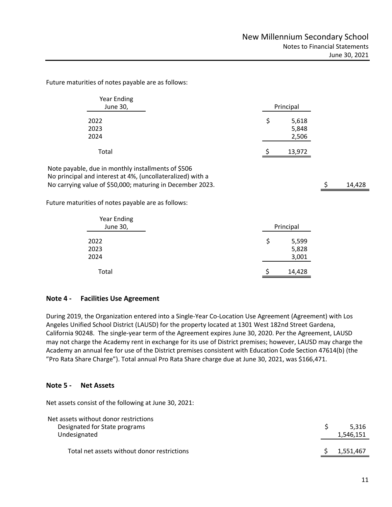Future maturities of notes payable are as follows:

| Year Ending<br>June 30, | Principal   |  |
|-------------------------|-------------|--|
| 2022                    | 5,618<br>\$ |  |
| 2023                    | 5,848       |  |
| 2024                    | 2,506       |  |
| Total                   | 13,972      |  |

Note payable, due in monthly installments of \$506 No principal and interest at 4%, (uncollateralized) with a Note payable in monotonic payable in the intervents of the intervents of the intervents of the intervents of the intervents of the intervents of the intervents of the intervents of the intervents of the intervents of the i

Future maturities of notes payable are as follows:

| <b>Year Ending</b><br>June 30, |   | Principal               |
|--------------------------------|---|-------------------------|
| 2022<br>2023<br>2024           | Ş | 5,599<br>5,828<br>3,001 |
| Total                          |   | 14,428                  |

## **Note 4 - Facilities Use Agreement**

During 2019, the Organization entered into a Single‐Year Co‐Location Use Agreement (Agreement) with Los Angeles Unified School District (LAUSD) for the property located at 1301 West 182nd Street Gardena, California 90248. The single‐year term of the Agreement expires June 30, 2020. Per the Agreement, LAUSD may not charge the Academy rent in exchange for its use of District premises; however, LAUSD may charge the Academy an annual fee for use of the District premises consistent with Education Code Section 47614(b) (the "Pro Rata Share Charge"). Total annual Pro Rata Share charge due at June 30, 2021, was \$166,471.

## **Note 5 - Net Assets**

Net assets consist of the following at June 30, 2021:

| Net assets without donor restrictions<br>Designated for State programs<br>Undesignated |  | 5.316<br>1,546,151 |
|----------------------------------------------------------------------------------------|--|--------------------|
| Total net assets without donor restrictions                                            |  | 1,551,467          |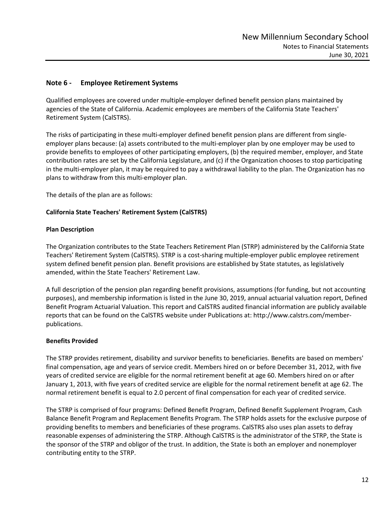# **Note 6 - Employee Retirement Systems**

Qualified employees are covered under multiple-employer defined benefit pension plans maintained by agencies of the State of California. Academic employees are members of the California State Teachers' Retirement System (CalSTRS).

The risks of participating in these multi-employer defined benefit pension plans are different from singleemployer plans because: (a) assets contributed to the multi-employer plan by one employer may be used to provide benefits to employees of other participating employers, (b) the required member, employer, and State contribution rates are set by the California Legislature, and (c) if the Organization chooses to stop participating in the multi-employer plan, it may be required to pay a withdrawal liability to the plan. The Organization has no plans to withdraw from this multi-employer plan.

The details of the plan are as follows:

## **California State Teachers' Retirement System (CalSTRS)**

## **Plan Description**

The Organization contributes to the State Teachers Retirement Plan (STRP) administered by the California State Teachers' Retirement System (CalSTRS). STRP is a cost-sharing multiple-employer public employee retirement system defined benefit pension plan. Benefit provisions are established by State statutes, as legislatively amended, within the State Teachers' Retirement Law.

A full description of the pension plan regarding benefit provisions, assumptions (for funding, but not accounting purposes), and membership information is listed in the June 30, 2019, annual actuarial valuation report, Defined Benefit Program Actuarial Valuation. This report and CalSTRS audited financial information are publicly available reports that can be found on the CalSTRS website under Publications at: http://www.calstrs.com/memberpublications.

## **Benefits Provided**

The STRP provides retirement, disability and survivor benefits to beneficiaries. Benefits are based on members' final compensation, age and years of service credit. Members hired on or before December 31, 2012, with five years of credited service are eligible for the normal retirement benefit at age 60. Members hired on or after January 1, 2013, with five years of credited service are eligible for the normal retirement benefit at age 62. The normal retirement benefit is equal to 2.0 percent of final compensation for each year of credited service.

The STRP is comprised of four programs: Defined Benefit Program, Defined Benefit Supplement Program, Cash Balance Benefit Program and Replacement Benefits Program. The STRP holds assets for the exclusive purpose of providing benefits to members and beneficiaries of these programs. CalSTRS also uses plan assets to defray reasonable expenses of administering the STRP. Although CalSTRS is the administrator of the STRP, the State is the sponsor of the STRP and obligor of the trust. In addition, the State is both an employer and nonemployer contributing entity to the STRP.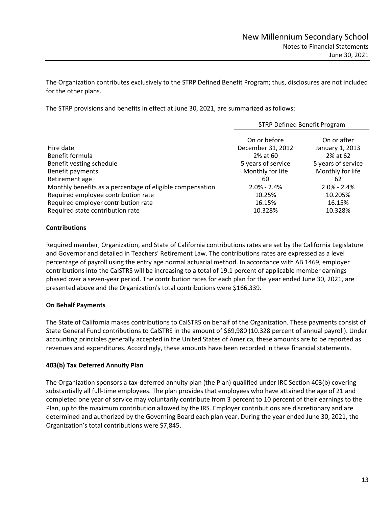The Organization contributes exclusively to the STRP Defined Benefit Program; thus, disclosures are not included for the other plans.

The STRP provisions and benefits in effect at June 30, 2021, are summarized as follows:

|                                                                         | <b>STRP Defined Benefit Program</b>                                 |                                                                  |  |
|-------------------------------------------------------------------------|---------------------------------------------------------------------|------------------------------------------------------------------|--|
| Hire date<br>Benefit formula<br>Benefit vesting schedule                | On or before<br>December 31, 2012<br>2% at 60<br>5 years of service | On or after<br>January 1, 2013<br>2% at 62<br>5 years of service |  |
| Benefit payments                                                        | Monthly for life                                                    | Monthly for life                                                 |  |
| Retirement age                                                          | 60                                                                  | 62                                                               |  |
| Monthly benefits as a percentage of eligible compensation               | $2.0\% - 2.4\%$                                                     | $2.0\% - 2.4\%$                                                  |  |
| Required employee contribution rate                                     | 10.25%                                                              | 10.205%                                                          |  |
| Required employer contribution rate<br>Required state contribution rate | 16.15%<br>10.328%                                                   | 16.15%<br>10.328%                                                |  |

## **Contributions**

Required member, Organization, and State of California contributions rates are set by the California Legislature and Governor and detailed in Teachers' Retirement Law. The contributions rates are expressed as a level percentage of payroll using the entry age normal actuarial method. In accordance with AB 1469, employer contributions into the CalSTRS will be increasing to a total of 19.1 percent of applicable member earnings phased over a seven-year period. The contribution rates for each plan for the year ended June 30, 2021, are presented above and the Organization's total contributions were \$166,339.

# **On Behalf Payments**

The State of California makes contributions to CalSTRS on behalf of the Organization. These payments consist of State General Fund contributions to CalSTRS in the amount of \$69,980 (10.328 percent of annual payroll). Under accounting principles generally accepted in the United States of America, these amounts are to be reported as revenues and expenditures. Accordingly, these amounts have been recorded in these financial statements.

## **403(b) Tax Deferred Annuity Plan**

The Organization sponsors a tax-deferred annuity plan (the Plan) qualified under IRC Section 403(b) covering substantially all full-time employees. The plan provides that employees who have attained the age of 21 and completed one year of service may voluntarily contribute from 3 percent to 10 percent of their earnings to the Plan, up to the maximum contribution allowed by the IRS. Employer contributions are discretionary and are determined and authorized by the Governing Board each plan year. During the year ended June 30, 2021, the Organization's total contributions were \$7,845.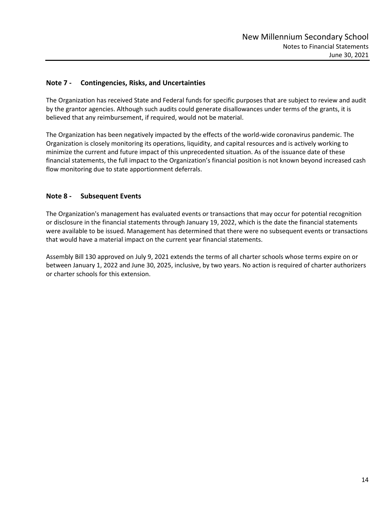# **Note 7 - Contingencies, Risks, and Uncertainties**

The Organization has received State and Federal funds for specific purposes that are subject to review and audit by the grantor agencies. Although such audits could generate disallowances under terms of the grants, it is believed that any reimbursement, if required, would not be material.

The Organization has been negatively impacted by the effects of the world-wide coronavirus pandemic. The Organization is closely monitoring its operations, liquidity, and capital resources and is actively working to minimize the current and future impact of this unprecedented situation. As of the issuance date of these financial statements, the full impact to the Organization's financial position is not known beyond increased cash flow monitoring due to state apportionment deferrals.

# **Note 8 - Subsequent Events**

The Organization's management has evaluated events or transactions that may occur for potential recognition or disclosure in the financial statements through January 19, 2022, which is the date the financial statements were available to be issued. Management has determined that there were no subsequent events or transactions that would have a material impact on the current year financial statements.

Assembly Bill 130 approved on July 9, 2021 extends the terms of all charter schools whose terms expire on or between January 1, 2022 and June 30, 2025, inclusive, by two years. No action is required of charter authorizers or charter schools for this extension.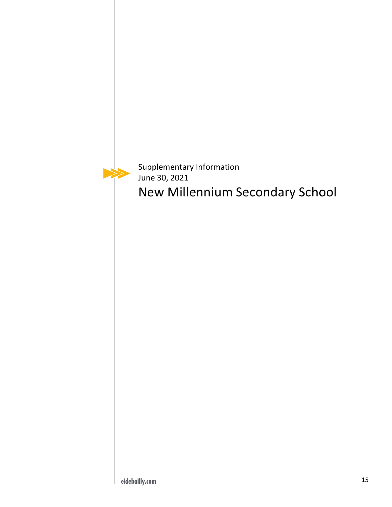⋗

Supplementary Information June 30, 2021 New Millennium Secondary School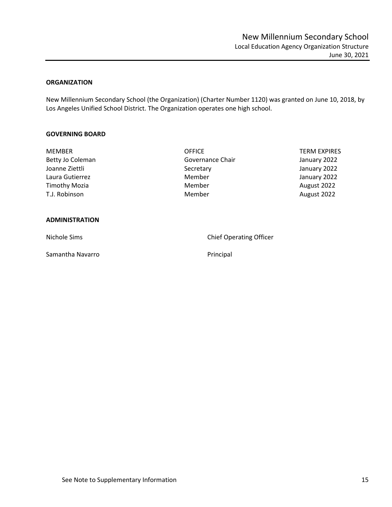## <span id="page-17-1"></span><span id="page-17-0"></span>**ORGANIZATION**

New Millennium Secondary School (the Organization) (Charter Number 1120) was granted on June 10, 2018, by Los Angeles Unified School District. The Organization operates one high school.

#### **GOVERNING BOARD**

| <b>MEMBER</b>        | <b>OFFICE</b>    | <b>TERM EXPIRES</b> |
|----------------------|------------------|---------------------|
| Betty Jo Coleman     | Governance Chair | January 2022        |
| Joanne Ziettli       | Secretary        | January 2022        |
| Laura Gutierrez      | Member           | January 2022        |
| <b>Timothy Mozia</b> | Member           | August 2022         |
| T.J. Robinson        | Member           | August 2022         |
|                      |                  |                     |
|                      |                  |                     |

## **ADMINISTRATION**

Samantha Navarro **Principal** 

Nichole Sims **Chief Operating Officer** Chief Operating Officer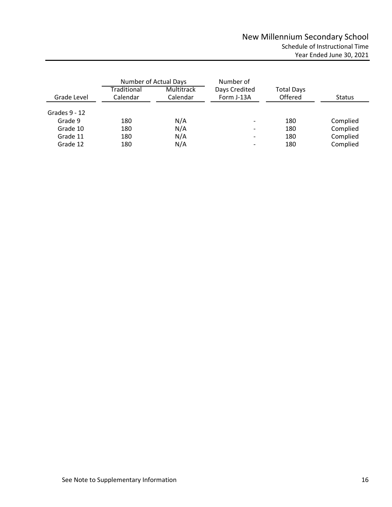<span id="page-18-0"></span>

|                 | Number of Actual Days   |                        | Number of                   |                              |               |
|-----------------|-------------------------|------------------------|-----------------------------|------------------------------|---------------|
| Grade Level     | Traditional<br>Calendar | Multitrack<br>Calendar | Days Credited<br>Form J-13A | <b>Total Days</b><br>Offered | <b>Status</b> |
| Grades $9 - 12$ |                         |                        |                             |                              |               |
| Grade 9         | 180                     | N/A                    |                             | 180                          | Complied      |
| Grade 10        | 180                     | N/A                    | $\overline{\phantom{a}}$    | 180                          | Complied      |
| Grade 11        | 180                     | N/A                    | $\overline{\phantom{a}}$    | 180                          | Complied      |
| Grade 12        | 180                     | N/A                    | $\overline{\phantom{a}}$    | 180                          | Complied      |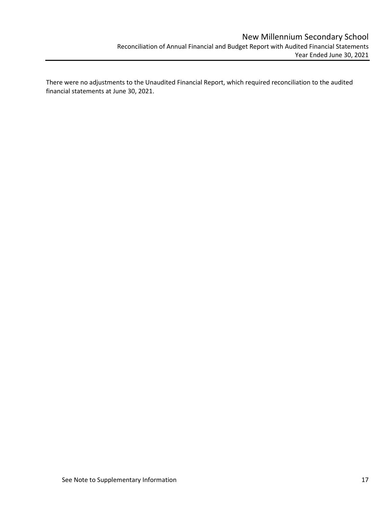<span id="page-19-0"></span>There were no adjustments to the Unaudited Financial Report, which required reconciliation to the audited financial statements at June 30, 2021.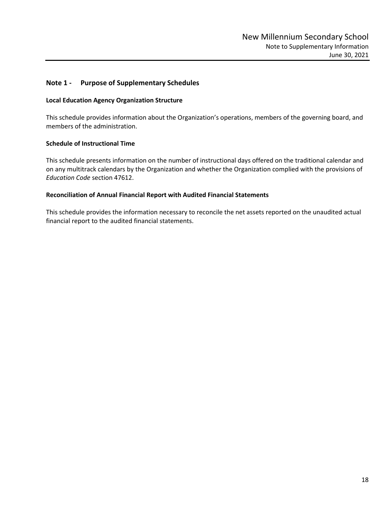## <span id="page-20-0"></span>**Note 1 - Purpose of Supplementary Schedules**

#### **Local Education Agency Organization Structure**

This schedule provides information about the Organization's operations, members of the governing board, and members of the administration.

#### **Schedule of Instructional Time**

This schedule presents information on the number of instructional days offered on the traditional calendar and on any multitrack calendars by the Organization and whether the Organization complied with the provisions of *Education Code* section 47612.

### **Reconciliation of Annual Financial Report with Audited Financial Statements**

This schedule provides the information necessary to reconcile the net assets reported on the unaudited actual financial report to the audited financial statements.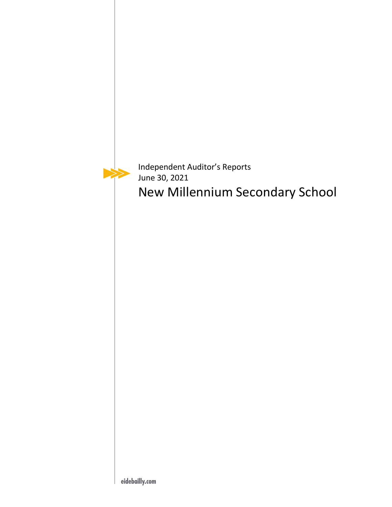

Independent Auditor's Reports June 30, 2021 New Millennium Secondary School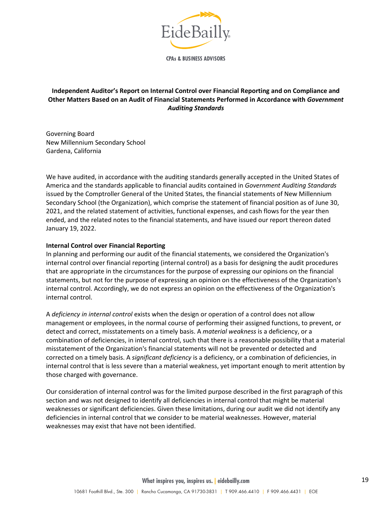

**CPAs & BUSINESS ADVISORS** 

# <span id="page-22-1"></span><span id="page-22-0"></span>**Independent Auditor's Report on Internal Control over Financial Reporting and on Compliance and Other Matters Based on an Audit of Financial Statements Performed in Accordance with** *Government Auditing Standards*

Governing Board New Millennium Secondary School Gardena, California

We have audited, in accordance with the auditing standards generally accepted in the United States of America and the standards applicable to financial audits contained in *Government Auditing Standards* issued by the Comptroller General of the United States, the financial statements of New Millennium Secondary School (the Organization), which comprise the statement of financial position as of June 30, 2021, and the related statement of activities, functional expenses, and cash flows for the year then ended, and the related notes to the financial statements, and have issued our report thereon dated January 19, 2022.

#### **Internal Control over Financial Reporting**

In planning and performing our audit of the financial statements, we considered the Organization's internal control over financial reporting (internal control) as a basis for designing the audit procedures that are appropriate in the circumstances for the purpose of expressing our opinions on the financial statements, but not for the purpose of expressing an opinion on the effectiveness of the Organization's internal control. Accordingly, we do not express an opinion on the effectiveness of the Organization's internal control.

A *deficiency in internal control* exists when the design or operation of a control does not allow management or employees, in the normal course of performing their assigned functions, to prevent, or detect and correct, misstatements on a timely basis. A *material weakness* is a deficiency, or a combination of deficiencies, in internal control, such that there is a reasonable possibility that a material misstatement of the Organization's financial statements will not be prevented or detected and corrected on a timely basis. A *significant deficiency* is a deficiency, or a combination of deficiencies, in internal control that is less severe than a material weakness, yet important enough to merit attention by those charged with governance.

Our consideration of internal control was for the limited purpose described in the first paragraph of this section and was not designed to identify all deficiencies in internal control that might be material weaknesses or significant deficiencies. Given these limitations, during our audit we did not identify any deficiencies in internal control that we consider to be material weaknesses. However, material weaknesses may exist that have not been identified.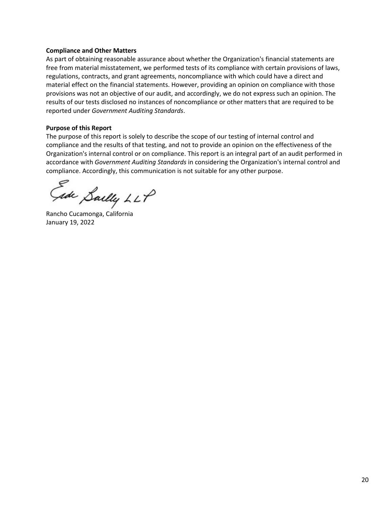### **Compliance and Other Matters**

As part of obtaining reasonable assurance about whether the Organization's financial statements are free from material misstatement, we performed tests of its compliance with certain provisions of laws, regulations, contracts, and grant agreements, noncompliance with which could have a direct and material effect on the financial statements. However, providing an opinion on compliance with those provisions was not an objective of our audit, and accordingly, we do not express such an opinion. The results of our tests disclosed no instances of noncompliance or other matters that are required to be reported under *Government Auditing Standards*.

#### **Purpose of this Report**

The purpose of this report is solely to describe the scope of our testing of internal control and compliance and the results of that testing, and not to provide an opinion on the effectiveness of the Organization's internal control or on compliance. This report is an integral part of an audit performed in accordance with *Government Auditing Standards* in considering the Organization's internal control and compliance. Accordingly, this communication is not suitable for any other purpose.

ede Sailly LLP

Rancho Cucamonga, California January 19, 2022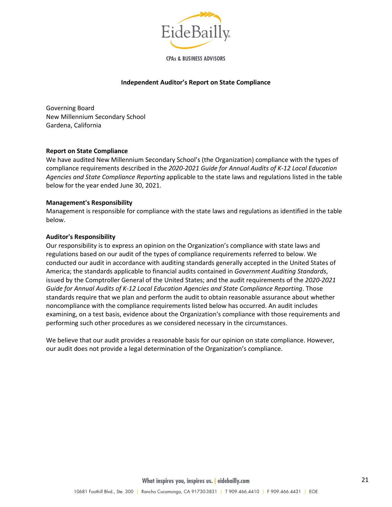

**CPAs & BUSINESS ADVISORS** 

#### **Independent Auditor's Report on State Compliance**

<span id="page-24-0"></span>Governing Board New Millennium Secondary School Gardena, California

#### **Report on State Compliance**

We have audited New Millennium Secondary School's (the Organization) compliance with the types of compliance requirements described in the *2020-2021 Guide for Annual Audits of K-12 Local Education Agencies and State Compliance Reporting* applicable to the state laws and regulations listed in the table below for the year ended June 30, 2021.

#### **Management's Responsibility**

Management is responsible for compliance with the state laws and regulations as identified in the table below.

#### **Auditor's Responsibility**

Our responsibility is to express an opinion on the Organization's compliance with state laws and regulations based on our audit of the types of compliance requirements referred to below. We conducted our audit in accordance with auditing standards generally accepted in the United States of America; the standards applicable to financial audits contained in *Government Auditing Standards*, issued by the Comptroller General of the United States; and the audit requirements of the *2020-2021 Guide for Annual Audits of K-12 Local Education Agencies and State Compliance Reporting*. Those standards require that we plan and perform the audit to obtain reasonable assurance about whether noncompliance with the compliance requirements listed below has occurred. An audit includes examining, on a test basis, evidence about the Organization's compliance with those requirements and performing such other procedures as we considered necessary in the circumstances.

We believe that our audit provides a reasonable basis for our opinion on state compliance. However, our audit does not provide a legal determination of the Organization's compliance.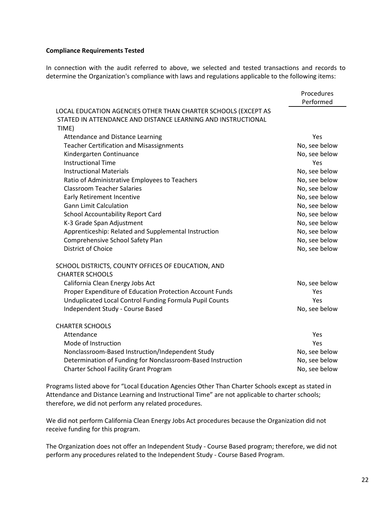#### **Compliance Requirements Tested**

In connection with the audit referred to above, we selected and tested transactions and records to determine the Organization's compliance with laws and regulations applicable to the following items:

|                                                                                                                                         | Procedures<br>Performed |
|-----------------------------------------------------------------------------------------------------------------------------------------|-------------------------|
| LOCAL EDUCATION AGENCIES OTHER THAN CHARTER SCHOOLS (EXCEPT AS<br>STATED IN ATTENDANCE AND DISTANCE LEARNING AND INSTRUCTIONAL<br>TIME) |                         |
| Attendance and Distance Learning                                                                                                        | Yes                     |
| <b>Teacher Certification and Misassignments</b>                                                                                         | No, see below           |
| Kindergarten Continuance                                                                                                                | No, see below           |
| <b>Instructional Time</b>                                                                                                               | Yes                     |
| <b>Instructional Materials</b>                                                                                                          | No, see below           |
| Ratio of Administrative Employees to Teachers                                                                                           | No, see below           |
| <b>Classroom Teacher Salaries</b>                                                                                                       | No, see below           |
| <b>Early Retirement Incentive</b>                                                                                                       | No, see below           |
| <b>Gann Limit Calculation</b>                                                                                                           | No, see below           |
| <b>School Accountability Report Card</b>                                                                                                | No, see below           |
| K-3 Grade Span Adjustment                                                                                                               | No, see below           |
| Apprenticeship: Related and Supplemental Instruction                                                                                    | No, see below           |
| Comprehensive School Safety Plan                                                                                                        | No, see below           |
| <b>District of Choice</b>                                                                                                               | No, see below           |
|                                                                                                                                         |                         |
| SCHOOL DISTRICTS, COUNTY OFFICES OF EDUCATION, AND<br><b>CHARTER SCHOOLS</b>                                                            |                         |
| California Clean Energy Jobs Act                                                                                                        | No, see below           |
| Proper Expenditure of Education Protection Account Funds                                                                                | Yes                     |
| Unduplicated Local Control Funding Formula Pupil Counts                                                                                 | Yes                     |
| Independent Study - Course Based                                                                                                        | No, see below           |
|                                                                                                                                         |                         |
| <b>CHARTER SCHOOLS</b>                                                                                                                  |                         |
| Attendance                                                                                                                              | Yes                     |
| Mode of Instruction                                                                                                                     | Yes                     |
| Nonclassroom-Based Instruction/Independent Study                                                                                        | No, see below           |
| Determination of Funding for Nonclassroom-Based Instruction                                                                             | No, see below           |
| <b>Charter School Facility Grant Program</b>                                                                                            | No, see below           |

Programs listed above for "Local Education Agencies Other Than Charter Schools except as stated in Attendance and Distance Learning and Instructional Time" are not applicable to charter schools; therefore, we did not perform any related procedures.

We did not perform California Clean Energy Jobs Act procedures because the Organization did not receive funding for this program.

The Organization does not offer an Independent Study - Course Based program; therefore, we did not perform any procedures related to the Independent Study - Course Based Program.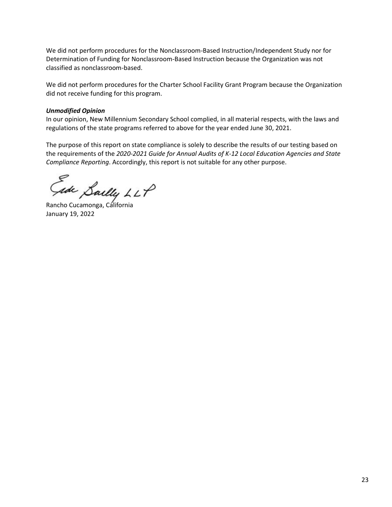We did not perform procedures for the Nonclassroom-Based Instruction/Independent Study nor for Determination of Funding for Nonclassroom-Based Instruction because the Organization was not classified as nonclassroom-based.

We did not perform procedures for the Charter School Facility Grant Program because the Organization did not receive funding for this program.

## *Unmodified Opinion*

In our opinion, New Millennium Secondary School complied, in all material respects, with the laws and regulations of the state programs referred to above for the year ended June 30, 2021.

The purpose of this report on state compliance is solely to describe the results of our testing based on the requirements of the *2020-2021 Guide for Annual Audits of K-12 Local Education Agencies and State Compliance Reporting*. Accordingly, this report is not suitable for any other purpose.

sde Sailly LLP

Rancho Cucamonga, California January 19, 2022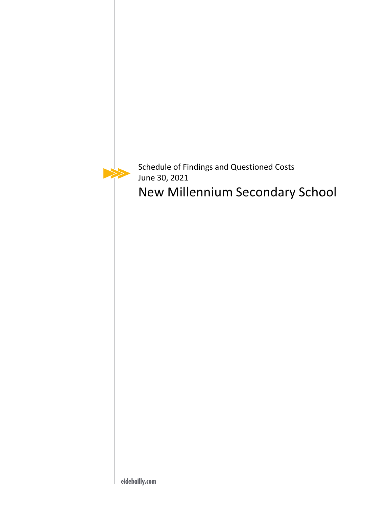

Schedule of Findings and Questioned Costs June 30, 2021

New Millennium Secondary School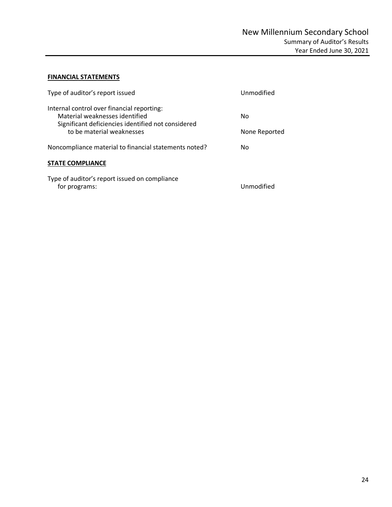# <span id="page-28-1"></span><span id="page-28-0"></span>**FINANCIAL STATEMENTS**

| Type of auditor's report issued                                                                                                    | Unmodified    |
|------------------------------------------------------------------------------------------------------------------------------------|---------------|
| Internal control over financial reporting:<br>Material weaknesses identified<br>Significant deficiencies identified not considered | No            |
| to be material weaknesses                                                                                                          | None Reported |
| Noncompliance material to financial statements noted?                                                                              | No            |
| <b>STATE COMPLIANCE</b>                                                                                                            |               |
| Type of auditor's report issued on compliance<br>for programs:                                                                     | Unmodified    |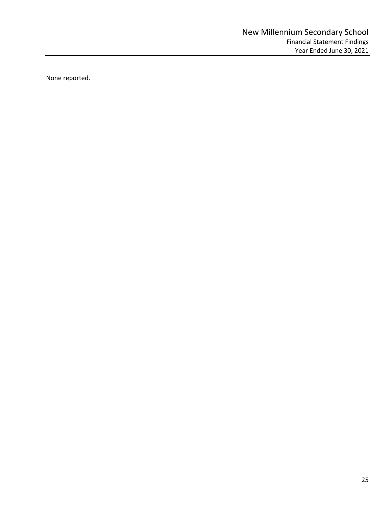<span id="page-29-0"></span>None reported.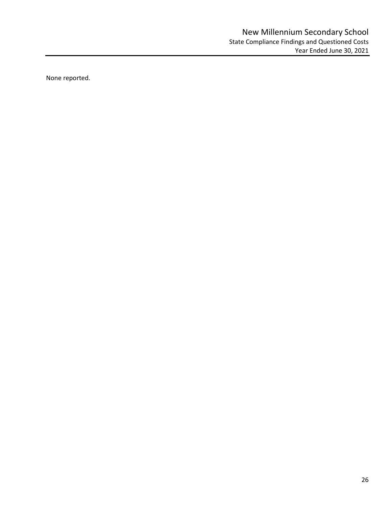<span id="page-30-0"></span>None reported.